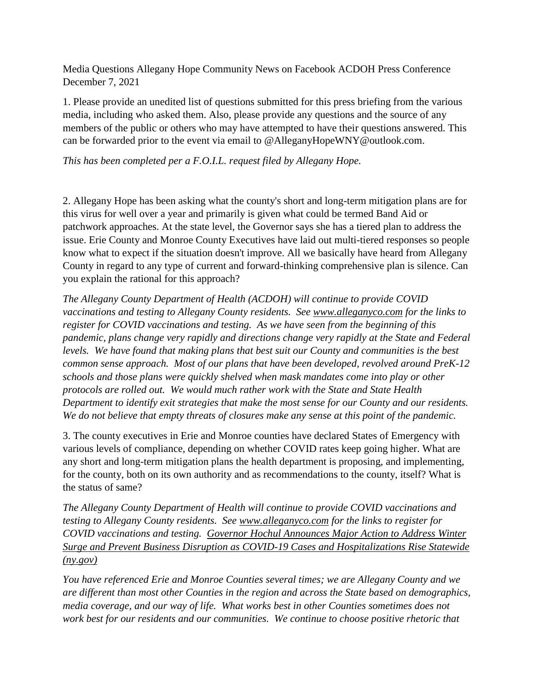Media Questions Allegany Hope Community News on Facebook ACDOH Press Conference December 7, 2021

1. Please provide an unedited list of questions submitted for this press briefing from the various media, including who asked them. Also, please provide any questions and the source of any members of the public or others who may have attempted to have their questions answered. This can be forwarded prior to the event via email to @AlleganyHopeWNY@outlook.com.

*This has been completed per a F.O.I.L. request filed by Allegany Hope.* 

2. Allegany Hope has been asking what the county's short and long-term mitigation plans are for this virus for well over a year and primarily is given what could be termed Band Aid or patchwork approaches. At the state level, the Governor says she has a tiered plan to address the issue. Erie County and Monroe County Executives have laid out multi-tiered responses so people know what to expect if the situation doesn't improve. All we basically have heard from Allegany County in regard to any type of current and forward-thinking comprehensive plan is silence. Can you explain the rational for this approach?

*The Allegany County Department of Health (ACDOH) will continue to provide COVID vaccinations and testing to Allegany County residents. See [www.alleganyco.com](http://www.alleganyco.com/) for the links to register for COVID vaccinations and testing. As we have seen from the beginning of this pandemic, plans change very rapidly and directions change very rapidly at the State and Federal levels. We have found that making plans that best suit our County and communities is the best common sense approach. Most of our plans that have been developed, revolved around PreK-12 schools and those plans were quickly shelved when mask mandates come into play or other protocols are rolled out. We would much rather work with the State and State Health Department to identify exit strategies that make the most sense for our County and our residents. We do not believe that empty threats of closures make any sense at this point of the pandemic.* 

3. The county executives in Erie and Monroe counties have declared States of Emergency with various levels of compliance, depending on whether COVID rates keep going higher. What are any short and long-term mitigation plans the health department is proposing, and implementing, for the county, both on its own authority and as recommendations to the county, itself? What is the status of same?

*The Allegany County Department of Health will continue to provide COVID vaccinations and testing to Allegany County residents. See [www.alleganyco.com](http://www.alleganyco.com/) for the links to register for COVID vaccinations and testing. [Governor Hochul Announces Major Action to Address Winter](https://www.governor.ny.gov/news/governor-hochul-announces-major-action-address-winter-surge-and-prevent-business-disruption)  [Surge and Prevent Business Disruption as COVID-19 Cases and Hospitalizations Rise Statewide](https://www.governor.ny.gov/news/governor-hochul-announces-major-action-address-winter-surge-and-prevent-business-disruption)  [\(ny.gov\)](https://www.governor.ny.gov/news/governor-hochul-announces-major-action-address-winter-surge-and-prevent-business-disruption)*

*You have referenced Erie and Monroe Counties several times; we are Allegany County and we are different than most other Counties in the region and across the State based on demographics, media coverage, and our way of life. What works best in other Counties sometimes does not work best for our residents and our communities. We continue to choose positive rhetoric that*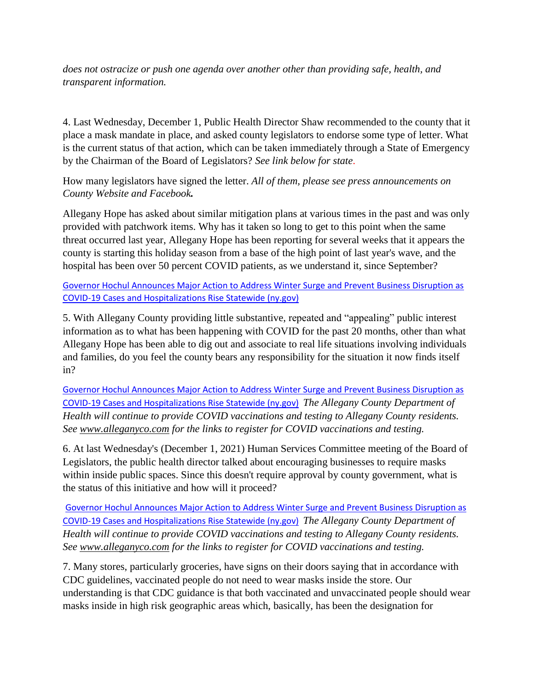*does not ostracize or push one agenda over another other than providing safe, health, and transparent information.* 

4. Last Wednesday, December 1, Public Health Director Shaw recommended to the county that it place a mask mandate in place, and asked county legislators to endorse some type of letter. What is the current status of that action, which can be taken immediately through a State of Emergency by the Chairman of the Board of Legislators? *See link below for state*.

How many legislators have signed the letter. *All of them, please see press announcements on County Website and Facebook.* 

Allegany Hope has asked about similar mitigation plans at various times in the past and was only provided with patchwork items. Why has it taken so long to get to this point when the same threat occurred last year, Allegany Hope has been reporting for several weeks that it appears the county is starting this holiday season from a base of the high point of last year's wave, and the hospital has been over 50 percent COVID patients, as we understand it, since September?

[Governor Hochul Announces Major Action to Address Winter Surge and Prevent Business Disruption as](https://www.governor.ny.gov/news/governor-hochul-announces-major-action-address-winter-surge-and-prevent-business-disruption)  [COVID-19 Cases and Hospitalizations Rise Statewide \(ny.gov\)](https://www.governor.ny.gov/news/governor-hochul-announces-major-action-address-winter-surge-and-prevent-business-disruption)

5. With Allegany County providing little substantive, repeated and "appealing" public interest information as to what has been happening with COVID for the past 20 months, other than what Allegany Hope has been able to dig out and associate to real life situations involving individuals and families, do you feel the county bears any responsibility for the situation it now finds itself in?

[Governor Hochul Announces Major Action to Address Winter Surge and Prevent Business Disruption as](https://www.governor.ny.gov/news/governor-hochul-announces-major-action-address-winter-surge-and-prevent-business-disruption)  [COVID-19 Cases and Hospitalizations Rise Statewide \(ny.gov\)](https://www.governor.ny.gov/news/governor-hochul-announces-major-action-address-winter-surge-and-prevent-business-disruption) *The Allegany County Department of Health will continue to provide COVID vaccinations and testing to Allegany County residents. See [www.alleganyco.com](http://www.alleganyco.com/) for the links to register for COVID vaccinations and testing.*

6. At last Wednesday's (December 1, 2021) Human Services Committee meeting of the Board of Legislators, the public health director talked about encouraging businesses to require masks within inside public spaces. Since this doesn't require approval by county government, what is the status of this initiative and how will it proceed?

[Governor Hochul Announces Major Action to Address Winter Surge and Prevent Business Disruption as](https://www.governor.ny.gov/news/governor-hochul-announces-major-action-address-winter-surge-and-prevent-business-disruption)  [COVID-19 Cases and Hospitalizations Rise Statewide \(ny.gov\)](https://www.governor.ny.gov/news/governor-hochul-announces-major-action-address-winter-surge-and-prevent-business-disruption) *The Allegany County Department of Health will continue to provide COVID vaccinations and testing to Allegany County residents. See [www.alleganyco.com](http://www.alleganyco.com/) for the links to register for COVID vaccinations and testing.*

7. Many stores, particularly groceries, have signs on their doors saying that in accordance with CDC guidelines, vaccinated people do not need to wear masks inside the store. Our understanding is that CDC guidance is that both vaccinated and unvaccinated people should wear masks inside in high risk geographic areas which, basically, has been the designation for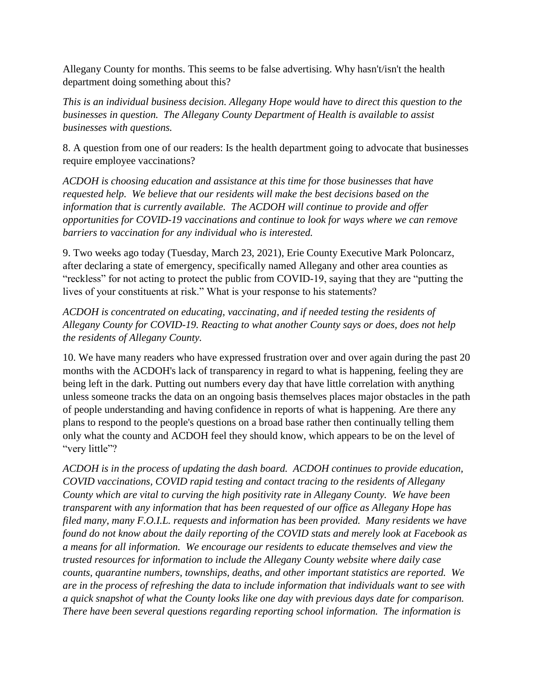Allegany County for months. This seems to be false advertising. Why hasn't/isn't the health department doing something about this?

*This is an individual business decision. Allegany Hope would have to direct this question to the businesses in question. The Allegany County Department of Health is available to assist businesses with questions.* 

8. A question from one of our readers: Is the health department going to advocate that businesses require employee vaccinations?

*ACDOH is choosing education and assistance at this time for those businesses that have requested help. We believe that our residents will make the best decisions based on the information that is currently available. The ACDOH will continue to provide and offer opportunities for COVID-19 vaccinations and continue to look for ways where we can remove barriers to vaccination for any individual who is interested.* 

9. Two weeks ago today (Tuesday, March 23, 2021), Erie County Executive Mark Poloncarz, after declaring a state of emergency, specifically named Allegany and other area counties as "reckless" for not acting to protect the public from COVID-19, saying that they are "putting the lives of your constituents at risk." What is your response to his statements?

*ACDOH is concentrated on educating, vaccinating, and if needed testing the residents of Allegany County for COVID-19. Reacting to what another County says or does, does not help the residents of Allegany County.* 

10. We have many readers who have expressed frustration over and over again during the past 20 months with the ACDOH's lack of transparency in regard to what is happening, feeling they are being left in the dark. Putting out numbers every day that have little correlation with anything unless someone tracks the data on an ongoing basis themselves places major obstacles in the path of people understanding and having confidence in reports of what is happening. Are there any plans to respond to the people's questions on a broad base rather then continually telling them only what the county and ACDOH feel they should know, which appears to be on the level of "very little"?

*ACDOH is in the process of updating the dash board. ACDOH continues to provide education, COVID vaccinations, COVID rapid testing and contact tracing to the residents of Allegany County which are vital to curving the high positivity rate in Allegany County. We have been transparent with any information that has been requested of our office as Allegany Hope has filed many, many F.O.I.L. requests and information has been provided. Many residents we have found do not know about the daily reporting of the COVID stats and merely look at Facebook as a means for all information. We encourage our residents to educate themselves and view the trusted resources for information to include the Allegany County website where daily case counts, quarantine numbers, townships, deaths, and other important statistics are reported. We are in the process of refreshing the data to include information that individuals want to see with a quick snapshot of what the County looks like one day with previous days date for comparison. There have been several questions regarding reporting school information. The information is*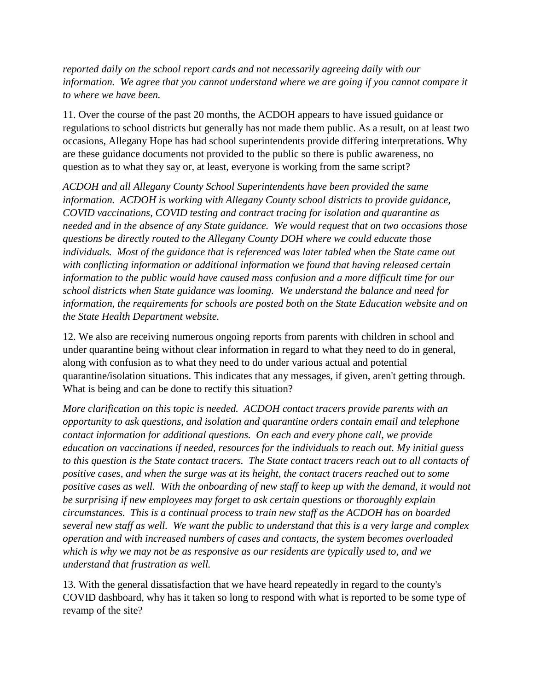*reported daily on the school report cards and not necessarily agreeing daily with our information. We agree that you cannot understand where we are going if you cannot compare it to where we have been.* 

11. Over the course of the past 20 months, the ACDOH appears to have issued guidance or regulations to school districts but generally has not made them public. As a result, on at least two occasions, Allegany Hope has had school superintendents provide differing interpretations. Why are these guidance documents not provided to the public so there is public awareness, no question as to what they say or, at least, everyone is working from the same script?

*ACDOH and all Allegany County School Superintendents have been provided the same information. ACDOH is working with Allegany County school districts to provide guidance, COVID vaccinations, COVID testing and contract tracing for isolation and quarantine as needed and in the absence of any State guidance. We would request that on two occasions those questions be directly routed to the Allegany County DOH where we could educate those individuals. Most of the guidance that is referenced was later tabled when the State came out with conflicting information or additional information we found that having released certain information to the public would have caused mass confusion and a more difficult time for our school districts when State guidance was looming. We understand the balance and need for information, the requirements for schools are posted both on the State Education website and on the State Health Department website.* 

12. We also are receiving numerous ongoing reports from parents with children in school and under quarantine being without clear information in regard to what they need to do in general, along with confusion as to what they need to do under various actual and potential quarantine/isolation situations. This indicates that any messages, if given, aren't getting through. What is being and can be done to rectify this situation?

*More clarification on this topic is needed. ACDOH contact tracers provide parents with an opportunity to ask questions, and isolation and quarantine orders contain email and telephone contact information for additional questions. On each and every phone call, we provide education on vaccinations if needed, resources for the individuals to reach out. My initial guess to this question is the State contact tracers. The State contact tracers reach out to all contacts of positive cases, and when the surge was at its height, the contact tracers reached out to some positive cases as well. With the onboarding of new staff to keep up with the demand, it would not be surprising if new employees may forget to ask certain questions or thoroughly explain circumstances. This is a continual process to train new staff as the ACDOH has on boarded several new staff as well. We want the public to understand that this is a very large and complex operation and with increased numbers of cases and contacts, the system becomes overloaded which is why we may not be as responsive as our residents are typically used to, and we understand that frustration as well.* 

13. With the general dissatisfaction that we have heard repeatedly in regard to the county's COVID dashboard, why has it taken so long to respond with what is reported to be some type of revamp of the site?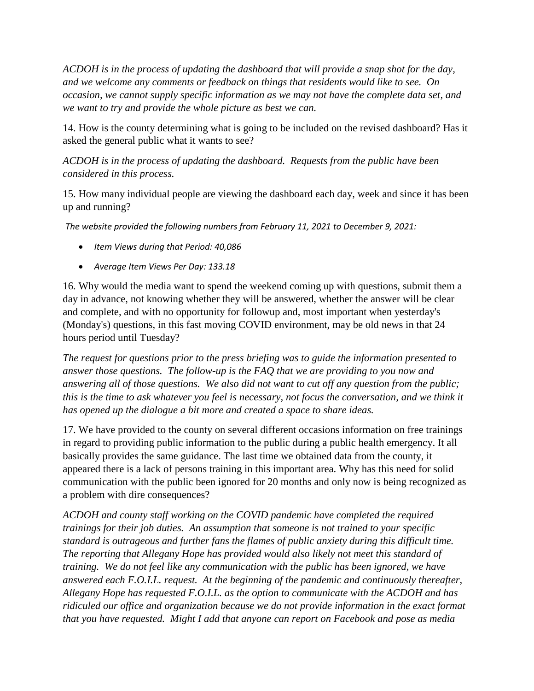*ACDOH is in the process of updating the dashboard that will provide a snap shot for the day, and we welcome any comments or feedback on things that residents would like to see. On occasion, we cannot supply specific information as we may not have the complete data set, and we want to try and provide the whole picture as best we can.* 

14. How is the county determining what is going to be included on the revised dashboard? Has it asked the general public what it wants to see?

*ACDOH is in the process of updating the dashboard. Requests from the public have been considered in this process.*

15. How many individual people are viewing the dashboard each day, week and since it has been up and running?

*The website provided the following numbers from February 11, 2021 to December 9, 2021:* 

- *Item Views during that Period: 40,086*
- *Average Item Views Per Day: 133.18*

16. Why would the media want to spend the weekend coming up with questions, submit them a day in advance, not knowing whether they will be answered, whether the answer will be clear and complete, and with no opportunity for followup and, most important when yesterday's (Monday's) questions, in this fast moving COVID environment, may be old news in that 24 hours period until Tuesday?

*The request for questions prior to the press briefing was to guide the information presented to answer those questions. The follow-up is the FAQ that we are providing to you now and answering all of those questions. We also did not want to cut off any question from the public; this is the time to ask whatever you feel is necessary, not focus the conversation, and we think it has opened up the dialogue a bit more and created a space to share ideas.* 

17. We have provided to the county on several different occasions information on free trainings in regard to providing public information to the public during a public health emergency. It all basically provides the same guidance. The last time we obtained data from the county, it appeared there is a lack of persons training in this important area. Why has this need for solid communication with the public been ignored for 20 months and only now is being recognized as a problem with dire consequences?

*ACDOH and county staff working on the COVID pandemic have completed the required trainings for their job duties. An assumption that someone is not trained to your specific standard is outrageous and further fans the flames of public anxiety during this difficult time. The reporting that Allegany Hope has provided would also likely not meet this standard of training. We do not feel like any communication with the public has been ignored, we have answered each F.O.I.L. request. At the beginning of the pandemic and continuously thereafter, Allegany Hope has requested F.O.I.L. as the option to communicate with the ACDOH and has ridiculed our office and organization because we do not provide information in the exact format that you have requested. Might I add that anyone can report on Facebook and pose as media*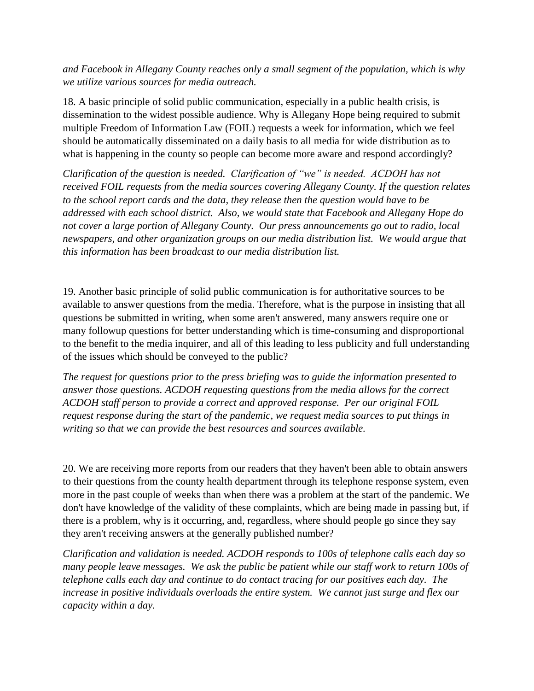*and Facebook in Allegany County reaches only a small segment of the population, which is why we utilize various sources for media outreach.* 

18. A basic principle of solid public communication, especially in a public health crisis, is dissemination to the widest possible audience. Why is Allegany Hope being required to submit multiple Freedom of Information Law (FOIL) requests a week for information, which we feel should be automatically disseminated on a daily basis to all media for wide distribution as to what is happening in the county so people can become more aware and respond accordingly?

*Clarification of the question is needed. Clarification of "we" is needed. ACDOH has not received FOIL requests from the media sources covering Allegany County. If the question relates to the school report cards and the data, they release then the question would have to be addressed with each school district. Also, we would state that Facebook and Allegany Hope do not cover a large portion of Allegany County. Our press announcements go out to radio, local newspapers, and other organization groups on our media distribution list. We would argue that this information has been broadcast to our media distribution list.* 

19. Another basic principle of solid public communication is for authoritative sources to be available to answer questions from the media. Therefore, what is the purpose in insisting that all questions be submitted in writing, when some aren't answered, many answers require one or many followup questions for better understanding which is time-consuming and disproportional to the benefit to the media inquirer, and all of this leading to less publicity and full understanding of the issues which should be conveyed to the public?

*The request for questions prior to the press briefing was to guide the information presented to answer those questions. ACDOH requesting questions from the media allows for the correct ACDOH staff person to provide a correct and approved response. Per our original FOIL request response during the start of the pandemic, we request media sources to put things in writing so that we can provide the best resources and sources available.* 

20. We are receiving more reports from our readers that they haven't been able to obtain answers to their questions from the county health department through its telephone response system, even more in the past couple of weeks than when there was a problem at the start of the pandemic. We don't have knowledge of the validity of these complaints, which are being made in passing but, if there is a problem, why is it occurring, and, regardless, where should people go since they say they aren't receiving answers at the generally published number?

*Clarification and validation is needed. ACDOH responds to 100s of telephone calls each day so many people leave messages. We ask the public be patient while our staff work to return 100s of telephone calls each day and continue to do contact tracing for our positives each day. The increase in positive individuals overloads the entire system. We cannot just surge and flex our capacity within a day.*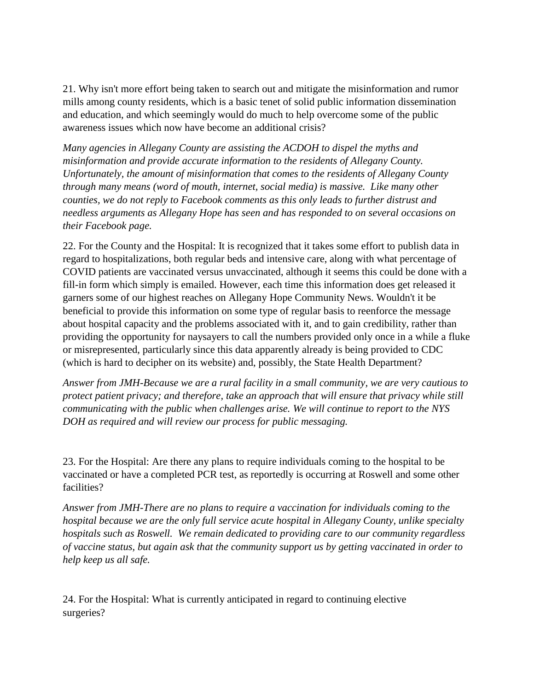21. Why isn't more effort being taken to search out and mitigate the misinformation and rumor mills among county residents, which is a basic tenet of solid public information dissemination and education, and which seemingly would do much to help overcome some of the public awareness issues which now have become an additional crisis?

*Many agencies in Allegany County are assisting the ACDOH to dispel the myths and misinformation and provide accurate information to the residents of Allegany County. Unfortunately, the amount of misinformation that comes to the residents of Allegany County through many means (word of mouth, internet, social media) is massive. Like many other counties, we do not reply to Facebook comments as this only leads to further distrust and needless arguments as Allegany Hope has seen and has responded to on several occasions on their Facebook page.* 

22. For the County and the Hospital: It is recognized that it takes some effort to publish data in regard to hospitalizations, both regular beds and intensive care, along with what percentage of COVID patients are vaccinated versus unvaccinated, although it seems this could be done with a fill-in form which simply is emailed. However, each time this information does get released it garners some of our highest reaches on Allegany Hope Community News. Wouldn't it be beneficial to provide this information on some type of regular basis to reenforce the message about hospital capacity and the problems associated with it, and to gain credibility, rather than providing the opportunity for naysayers to call the numbers provided only once in a while a fluke or misrepresented, particularly since this data apparently already is being provided to CDC (which is hard to decipher on its website) and, possibly, the State Health Department?

*Answer from JMH-Because we are a rural facility in a small community, we are very cautious to protect patient privacy; and therefore, take an approach that will ensure that privacy while still communicating with the public when challenges arise. We will continue to report to the NYS DOH as required and will review our process for public messaging.*

23. For the Hospital: Are there any plans to require individuals coming to the hospital to be vaccinated or have a completed PCR test, as reportedly is occurring at Roswell and some other facilities?

*Answer from JMH-There are no plans to require a vaccination for individuals coming to the hospital because we are the only full service acute hospital in Allegany County, unlike specialty hospitals such as Roswell. We remain dedicated to providing care to our community regardless of vaccine status, but again ask that the community support us by getting vaccinated in order to help keep us all safe.*

24. For the Hospital: What is currently anticipated in regard to continuing elective surgeries?